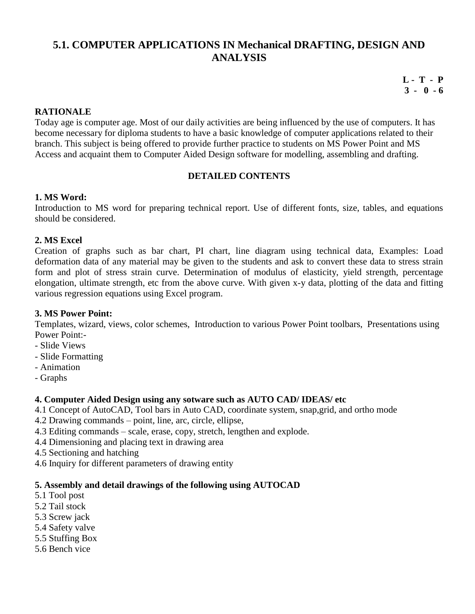# **5.1. COMPUTER APPLICATIONS IN Mechanical DRAFTING, DESIGN AND ANALYSIS**

**L - T - P 3 - 0 - 6**

### **RATIONALE**

Today age is computer age. Most of our daily activities are being influenced by the use of computers. It has become necessary for diploma students to have a basic knowledge of computer applications related to their branch. This subject is being offered to provide further practice to students on MS Power Point and MS Access and acquaint them to Computer Aided Design software for modelling, assembling and drafting.

### **DETAILED CONTENTS**

### **1. MS Word:**

Introduction to MS word for preparing technical report. Use of different fonts, size, tables, and equations should be considered.

### **2. MS Excel**

Creation of graphs such as bar chart, PI chart, line diagram using technical data, Examples: Load deformation data of any material may be given to the students and ask to convert these data to stress strain form and plot of stress strain curve. Determination of modulus of elasticity, yield strength, percentage elongation, ultimate strength, etc from the above curve. With given x-y data, plotting of the data and fitting various regression equations using Excel program.

### **3. MS Power Point:**

Templates, wizard, views, color schemes, Introduction to various Power Point toolbars, Presentations using Power Point:-

- Slide Views
- Slide Formatting
- Animation
- Graphs

### **4. Computer Aided Design using any sotware such as AUTO CAD/ IDEAS/ etc**

- 4.1 Concept of AutoCAD, Tool bars in Auto CAD, coordinate system, snap,grid, and ortho mode
- 4.2 Drawing commands point, line, arc, circle, ellipse,
- 4.3 Editing commands scale, erase, copy, stretch, lengthen and explode.
- 4.4 Dimensioning and placing text in drawing area
- 4.5 Sectioning and hatching
- 4.6 Inquiry for different parameters of drawing entity

### **5. Assembly and detail drawings of the following using AUTOCAD**

- 5.1 Tool post
- 5.2 Tail stock
- 5.3 Screw jack
- 5.4 Safety valve
- 5.5 Stuffing Box
- 5.6 Bench vice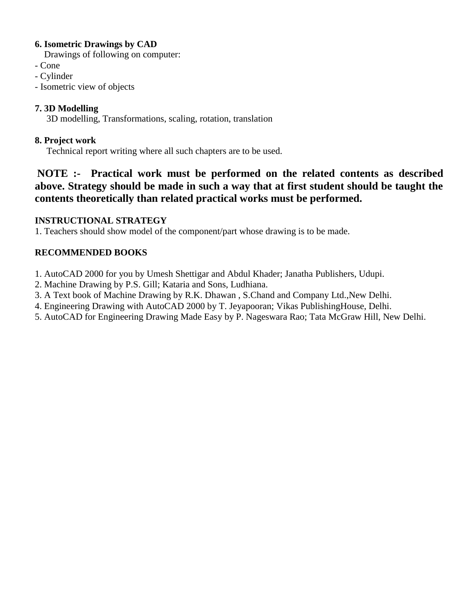# **6. Isometric Drawings by CAD**

Drawings of following on computer:

- Cone
- Cylinder
- Isometric view of objects

# **7. 3D Modelling**

3D modelling, Transformations, scaling, rotation, translation

# **8. Project work**

Technical report writing where all such chapters are to be used.

# **NOTE :- Practical work must be performed on the related contents as described above. Strategy should be made in such a way that at first student should be taught the contents theoretically than related practical works must be performed.**

# **INSTRUCTIONAL STRATEGY**

1. Teachers should show model of the component/part whose drawing is to be made.

# **RECOMMENDED BOOKS**

- 1. AutoCAD 2000 for you by Umesh Shettigar and Abdul Khader; Janatha Publishers, Udupi.
- 2. Machine Drawing by P.S. Gill; Kataria and Sons, Ludhiana.
- 3. A Text book of Machine Drawing by R.K. Dhawan , S.Chand and Company Ltd.,New Delhi.
- 4. Engineering Drawing with AutoCAD 2000 by T. Jeyapooran; Vikas PublishingHouse, Delhi.
- 5. AutoCAD for Engineering Drawing Made Easy by P. Nageswara Rao; Tata McGraw Hill, New Delhi.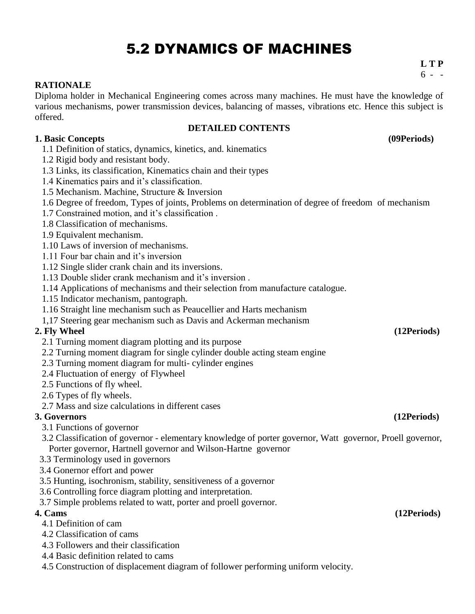# 5.2 DYNAMICS OF MACHINES

**L T P**  $6 -$ 

# **RATIONALE**

Diploma holder in Mechanical Engineering comes across many machines. He must have the knowledge of various mechanisms, power transmission devices, balancing of masses, vibrations etc. Hence this subject is offered.

### **DETAILED CONTENTS**

**1. Basic Concepts (09Periods)**

- 1.1 Definition of statics, dynamics, kinetics, and. kinematics
- 1.2 Rigid body and resistant body.
- 1.3 Links, its classification, Kinematics chain and their types
- 1.4 Kinematics pairs and it's classification.
- 1.5 Mechanism. Machine, Structure & Inversion
- 1.6 Degree of freedom, Types of joints, Problems on determination of degree of freedom of mechanism
- 1.7 Constrained motion, and it's classification .
- 1.8 Classification of mechanisms.
- 1.9 Equivalent mechanism.
- 1.10 Laws of inversion of mechanisms.
- 1.11 Four bar chain and it's inversion
- 1.12 Single slider crank chain and its inversions.
- 1.13 Double slider crank mechanism and it's inversion .
- 1.14 Applications of mechanisms and their selection from manufacture catalogue.
- 1.15 Indicator mechanism, pantograph.
- 1.16 Straight line mechanism such as Peaucellier and Harts mechanism
- 1,17 Steering gear mechanism such as Davis and Ackerman mechanism

# **2. Fly Wheel (12Periods)**

- 2.1 Turning moment diagram plotting and its purpose
- 2.2 Turning moment diagram for single cylinder double acting steam engine
- 2.3 Turning moment diagram for multi- cylinder engines
- 2.4 Fluctuation of energy of Flywheel
- 2.5 Functions of fly wheel.
- 2.6 Types of fly wheels.
- 2.7 Mass and size calculations in different cases

# **3. Governors (12Periods)**

- 3.1 Functions of governor
- 3.2 Classification of governor elementary knowledge of porter governor, Watt governor, Proell governor, Porter governor, Hartnell governor and Wilson-Hartne governor
- 3.3 Terminology used in governors
- 3.4 Gonernor effort and power
- 3.5 Hunting, isochronism, stability, sensitiveness of a governor
- 3.6 Controlling force diagram plotting and interpretation.
- 3.7 Simple problems related to watt, porter and proell governor.

- 4.1 Definition of cam
- 4.2 Classification of cams
- 4.3 Followers and their classification
- 4.4 Basic definition related to cams
- 4.5 Construction of displacement diagram of follower performing uniform velocity.

### **4. Cams (12Periods)**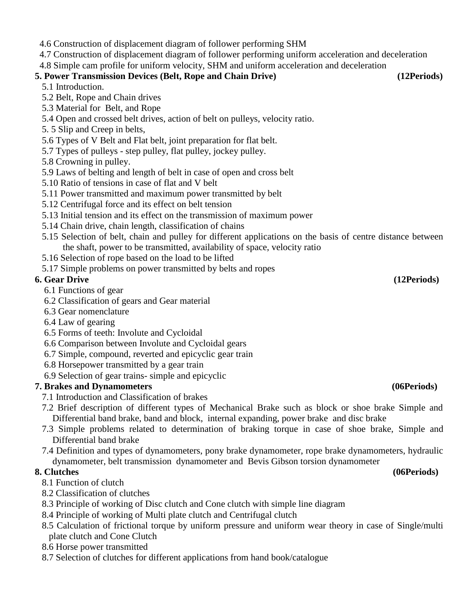- 4.6 Construction of displacement diagram of follower performing SHM
- 4.7 Construction of displacement diagram of follower performing uniform acceleration and deceleration

4.8 Simple cam profile for uniform velocity, SHM and uniform acceleration and deceleration

# **5. Power Transmission Devices (Belt, Rope and Chain Drive) (12Periods)**

- 5.1 Introduction.
- 5.2 Belt, Rope and Chain drives
- 5.3 Material for Belt, and Rope
- 5.4 Open and crossed belt drives, action of belt on pulleys, velocity ratio.
- 5. 5 Slip and Creep in belts,
- 5.6 Types of V Belt and Flat belt, joint preparation for flat belt.
- 5.7 Types of pulleys step pulley, flat pulley, jockey pulley.
- 5.8 Crowning in pulley.
- 5.9 Laws of belting and length of belt in case of open and cross belt
- 5.10 Ratio of tensions in case of flat and V belt
- 5.11 Power transmitted and maximum power transmitted by belt
- 5.12 Centrifugal force and its effect on belt tension
- 5.13 Initial tension and its effect on the transmission of maximum power
- 5.14 Chain drive, chain length, classification of chains
- 5.15 Selection of belt, chain and pulley for different applications on the basis of centre distance between the shaft, power to be transmitted, availability of space, velocity ratio
- 5.16 Selection of rope based on the load to be lifted
- 5.17 Simple problems on power transmitted by belts and ropes

# **6. Gear Drive (12Periods)**

- 6.1 Functions of gear
- 6.2 Classification of gears and Gear material
- 6.3 Gear nomenclature
- 6.4 Law of gearing
- 6.5 Forms of teeth: Involute and Cycloidal
- 6.6 Comparison between Involute and Cycloidal gears
- 6.7 Simple, compound, reverted and epicyclic gear train
- 6.8 Horsepower transmitted by a gear train
- 6.9 Selection of gear trains- simple and epicyclic

# **7. Brakes and Dynamometers (06Periods)**

- 7.1 Introduction and Classification of brakes
- 7.2 Brief description of different types of Mechanical Brake such as block or shoe brake Simple and Differential band brake, band and block, internal expanding, power brake and disc brake
- 7.3 Simple problems related to determination of braking torque in case of shoe brake, Simple and Differential band brake
- 7.4 Definition and types of dynamometers, pony brake dynamometer, rope brake dynamometers, hydraulic dynamometer, belt transmission dynamometer and Bevis Gibson torsion dynamometer

- 8.1 Function of clutch
- 8.2 Classification of clutches
- 8.3 Principle of working of Disc clutch and Cone clutch with simple line diagram
- 8.4 Principle of working of Multi plate clutch and Centrifugal clutch
- 8.5 Calculation of frictional torque by uniform pressure and uniform wear theory in case of Single/multi plate clutch and Cone Clutch
- 8.6 Horse power transmitted
- 8.7 Selection of clutches for different applications from hand book/catalogue

### **8. Clutches (06Periods)**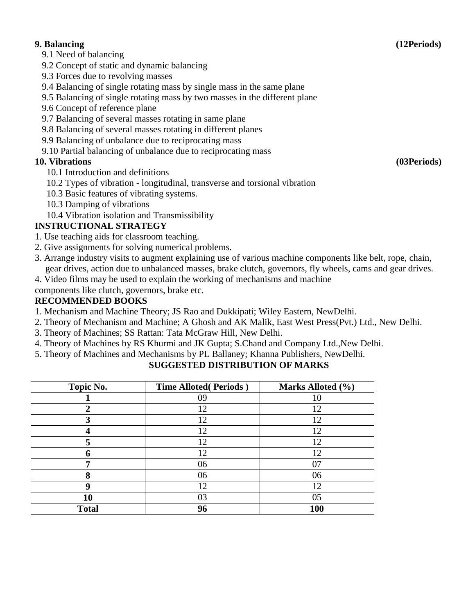### **9. Balancing (12Periods)**

9.1 Need of balancing

- 9.2 Concept of static and dynamic balancing
- 9.3 Forces due to revolving masses
- 9.4 Balancing of single rotating mass by single mass in the same plane
- 9.5 Balancing of single rotating mass by two masses in the different plane
- 9.6 Concept of reference plane
- 9.7 Balancing of several masses rotating in same plane
- 9.8 Balancing of several masses rotating in different planes
- 9.9 Balancing of unbalance due to reciprocating mass
- 9.10 Partial balancing of unbalance due to reciprocating mass

# **10. Vibrations (03Periods)**

- 10.1 Introduction and definitions
- 10.2 Types of vibration longitudinal, transverse and torsional vibration
- 10.3 Basic features of vibrating systems.
- 10.3 Damping of vibrations
- 10.4 Vibration isolation and Transmissibility

# **INSTRUCTIONAL STRATEGY**

- 1. Use teaching aids for classroom teaching.
- 2. Give assignments for solving numerical problems.
- 3. Arrange industry visits to augment explaining use of various machine components like belt, rope, chain, gear drives, action due to unbalanced masses, brake clutch, governors, fly wheels, cams and gear drives.
- 4. Video films may be used to explain the working of mechanisms and machine

components like clutch, governors, brake etc.

# **RECOMMENDED BOOKS**

- 1. Mechanism and Machine Theory; JS Rao and Dukkipati; Wiley Eastern, NewDelhi.
- 2. Theory of Mechanism and Machine; A Ghosh and AK Malik, East West Press(Pvt.) Ltd., New Delhi.
- 3. Theory of Machines; SS Rattan: Tata McGraw Hill, New Delhi.
- 4. Theory of Machines by RS Khurmi and JK Gupta; S.Chand and Company Ltd.,New Delhi.
- 5. Theory of Machines and Mechanisms by PL Ballaney; Khanna Publishers, NewDelhi.

| Topic No.    | <b>Time Alloted (Periods)</b> | Marks Alloted (%) |
|--------------|-------------------------------|-------------------|
|              | 09                            |                   |
|              | 12                            | 12                |
|              | 12                            | 12                |
|              | 12                            | 12                |
|              | 12                            | 12                |
|              | 12                            | 12                |
|              | 06                            | 07                |
|              | 06                            | 06                |
| Q            | 12                            | 12                |
| 10           | 03                            | 05                |
| <b>Total</b> | 96                            | <b>100</b>        |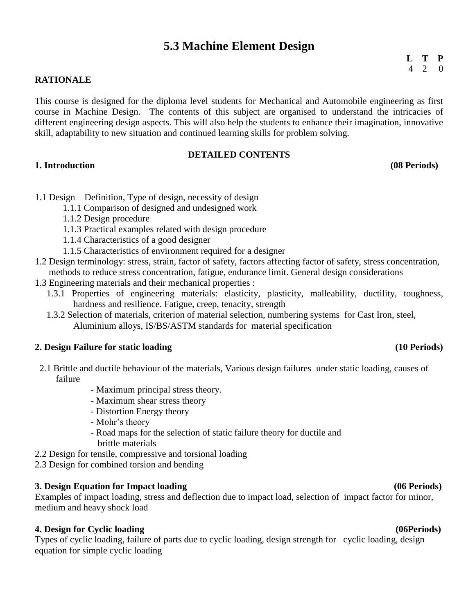# **5.3 Machine Element Design**

### **RATIONALE**

This course is designed for the diploma level students for Mechanical and Automobile engineering as first course in Machine Design. The contents of this subject are organised to understand the intricacies of different engineering design aspects. This will also help the students to enhance their imagination, innovative skill, adaptability to new situation and continued learning skills for problem solving.

### **DETAILED CONTENTS**

### **1. Introduction (08 Periods)**

- 1.1 Design Definition, Type of design, necessity of design
	- 1.1.1 Comparison of designed and undesigned work
	- 1.1.2 Design procedure
	- 1.1.3 Practical examples related with design procedure
	- 1.1.4 Characteristics of a good designer
	- 1.1.5 Characteristics of environment required for a designer
- 1.2 Design terminology: stress, strain, factor of safety, factors affecting factor of safety, stress concentration, methods to reduce stress concentration, fatigue, endurance limit. General design considerations
- 1.3 Engineering materials and their mechanical properties :
	- 1.3.1 Properties of engineering materials: elasticity, plasticity, malleability, ductility, toughness, hardness and resilience. Fatigue, creep, tenacity, strength
	- 1.3.2 Selection of materials, criterion of material selection, numbering systems for Cast Iron, steel, Aluminium alloys, IS/BS/ASTM standards for material specification

### **2. Design Failure for static loading (10 Periods)**

- 2.1 Brittle and ductile behaviour of the materials, Various design failures under static loading, causes of failure
	- Maximum principal stress theory.
	- Maximum shear stress theory
	- Distortion Energy theory
	- Mohr's theory
	- Road maps for the selection of static failure theory for ductile and brittle materials
- 2.2 Design for tensile, compressive and torsional loading
- 2.3 Design for combined torsion and bending

### **3. Design Equation for Impact loading (06 Periods)**

Examples of impact loading, stress and deflection due to impact load, selection of impact factor for minor, medium and heavy shock load

### **4. Design for Cyclic loading (06Periods)**

Types of cyclic loading, failure of parts due to cyclic loading, design strength for cyclic loading, design equation for simple cyclic loading

**L T P** 4 2 0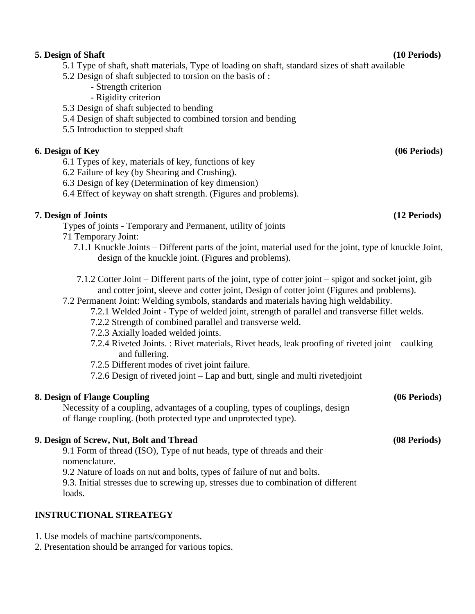# **5. Design of Shaft (10 Periods)**

- 5.1 Type of shaft, shaft materials, Type of loading on shaft, standard sizes of shaft available
- 5.2 Design of shaft subjected to torsion on the basis of :
	- Strength criterion
	- Rigidity criterion
- 5.3 Design of shaft subjected to bending
- 5.4 Design of shaft subjected to combined torsion and bending
- 5.5 Introduction to stepped shaft

# **6. Design of Key (06 Periods)**

- 6.1 Types of key, materials of key, functions of key
- 6.2 Failure of key (by Shearing and Crushing).
- 6.3 Design of key (Determination of key dimension)
- 6.4 Effect of keyway on shaft strength. (Figures and problems).

# **7. Design of Joints (12 Periods)**

Types of joints - Temporary and Permanent, utility of joints

- 71 Temporary Joint:
	- 7.1.1 Knuckle Joints Different parts of the joint, material used for the joint, type of knuckle Joint, design of the knuckle joint. (Figures and problems).
	- 7.1.2 Cotter Joint Different parts of the joint, type of cotter joint spigot and socket joint, gib and cotter joint, sleeve and cotter joint, Design of cotter joint (Figures and problems).
- 7.2 Permanent Joint: Welding symbols, standards and materials having high weldability.
	- 7.2.1 Welded Joint Type of welded joint, strength of parallel and transverse fillet welds.
	- 7.2.2 Strength of combined parallel and transverse weld.
	- 7.2.3 Axially loaded welded joints.
	- 7.2.4 Riveted Joints. : Rivet materials, Rivet heads, leak proofing of riveted joint caulking and fullering.
	- 7.2.5 Different modes of rivet joint failure.
	- 7.2.6 Design of riveted joint Lap and butt, single and multi rivetedjoint

# **8. Design of Flange Coupling (06 Periods)**

Necessity of a coupling, advantages of a coupling, types of couplings, design of flange coupling. (both protected type and unprotected type).

# **9. Design of Screw, Nut, Bolt and Thread (08 Periods)**

9.1 Form of thread (ISO), Type of nut heads, type of threads and their nomenclature.

9.2 Nature of loads on nut and bolts, types of failure of nut and bolts.

9.3. Initial stresses due to screwing up, stresses due to combination of different loads.

# **INSTRUCTIONAL STREATEGY**

- 1. Use models of machine parts/components.
- 2. Presentation should be arranged for various topics.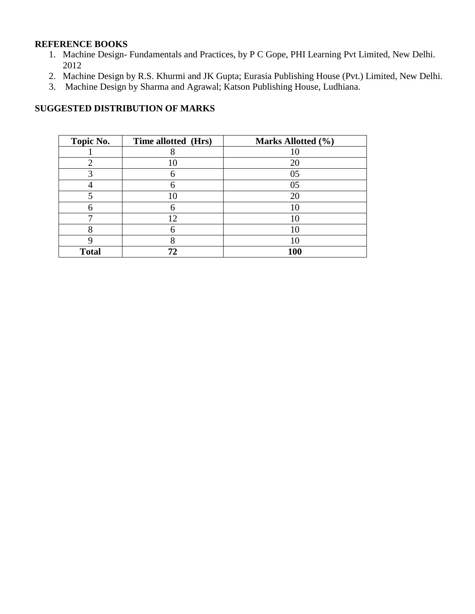### **REFERENCE BOOKS**

- 1. Machine Design- Fundamentals and Practices, by P C Gope, PHI Learning Pvt Limited, New Delhi. 2012
- 2. Machine Design by R.S. Khurmi and JK Gupta; Eurasia Publishing House (Pvt.) Limited, New Delhi.
- 3. Machine Design by Sharma and Agrawal; Katson Publishing House, Ludhiana.

| Topic No.    | Time allotted (Hrs) | Marks Allotted (%) |
|--------------|---------------------|--------------------|
|              |                     |                    |
|              | 10                  | 20                 |
|              |                     | 05                 |
|              |                     | 05                 |
|              | 10                  | 20                 |
| 6            | 6                   |                    |
|              | 12                  |                    |
| o            | 6                   | 10                 |
|              |                     |                    |
| <b>Total</b> | 72                  | 100                |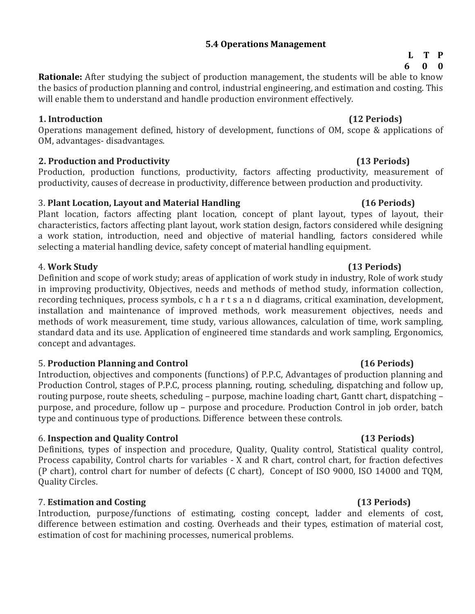### **5.4 Operations Management**

**Rationale:** After studying the subject of production management, the students will be able to know the basics of production planning and control, industrial engineering, and estimation and costing. This will enable them to understand and handle production environment effectively.

### **1. Introduction (12 Periods)**

Operations management defined, history of development, functions of OM, scope & applications of OM, advantages- disadvantages.

# **2. Production and Productivity (13 Periods)**

Production, production functions, productivity, factors affecting productivity, measurement of productivity, causes of decrease in productivity, difference between production and productivity.

# 3. **Plant Location, Layout and Material Handling (16 Periods)**

Plant location, factors affecting plant location, concept of plant layout, types of layout, their characteristics, factors affecting plant layout, work station design, factors considered while designing a work station, introduction, need and objective of material handling, factors considered while selecting a material handling device, safety concept of material handling equipment.

# 4. **Work Study (13 Periods)**

Definition and scope of work study; areas of application of work study in industry, Role of work study in improving productivity, Objectives, needs and methods of method study, information collection, recording techniques, process symbols, c h a r t s a n d diagrams, critical examination, development, installation and maintenance of improved methods, work measurement objectives, needs and methods of work measurement, time study, various allowances, calculation of time, work sampling, standard data and its use. Application of engineered time standards and work sampling, Ergonomics, concept and advantages.

# 5. **Production Planning and Control (16 Periods)**

Introduction, objectives and components (functions) of P.P.C, Advantages of production planning and Production Control, stages of P.P.C, process planning, routing, scheduling, dispatching and follow up, routing purpose, route sheets, scheduling – purpose, machine loading chart, Gantt chart, dispatching – purpose, and procedure, follow up – purpose and procedure. Production Control in job order, batch type and continuous type of productions. Difference between these controls.

# 6. **Inspection and Quality Control (13 Periods)**

Definitions, types of inspection and procedure, Quality, Quality control, Statistical quality control, Process capability, Control charts for variables - X and R chart, control chart, for fraction defectives (P chart), control chart for number of defects (C chart), Concept of ISO 9000, ISO 14000 and TQM, Quality Circles.

# 7. **Estimation and Costing (13 Periods)**

Introduction, purpose/functions of estimating, costing concept, ladder and elements of cost, difference between estimation and costing. Overheads and their types, estimation of material cost, estimation of cost for machining processes, numerical problems.

### **L T P 6 0 0**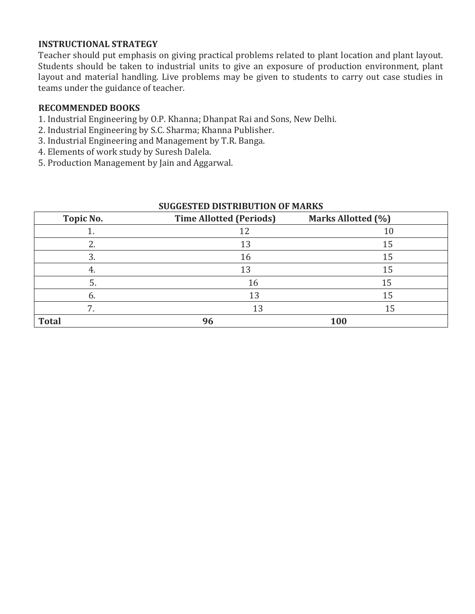# **INSTRUCTIONAL STRATEGY**

Teacher should put emphasis on giving practical problems related to plant location and plant layout. Students should be taken to industrial units to give an exposure of production environment, plant layout and material handling. Live problems may be given to students to carry out case studies in teams under the guidance of teacher.

# **RECOMMENDED BOOKS**

- 1. Industrial Engineering by O.P. Khanna; Dhanpat Rai and Sons, New Delhi.
- 2. Industrial Engineering by S.C. Sharma; Khanna Publisher.
- 3. Industrial Engineering and Management by T.R. Banga.
- 4. Elements of work study by Suresh Dalela.
- 5. Production Management by Jain and Aggarwal.

| <b>SUGGESTED DISTRIBUTION OF MARKS</b> |                                |                    |  |
|----------------------------------------|--------------------------------|--------------------|--|
| Topic No.                              | <b>Time Allotted (Periods)</b> | Marks Allotted (%) |  |
|                                        | 12                             | 10                 |  |
|                                        | 13                             | 15                 |  |
| 3.                                     | 16                             | 15                 |  |
| 4.                                     | 13                             | 15                 |  |
| 5.                                     | 16                             | 15                 |  |
| 6.                                     | 13                             | 15                 |  |
|                                        | 13                             | 15                 |  |
| <b>Total</b>                           | 96                             | 100                |  |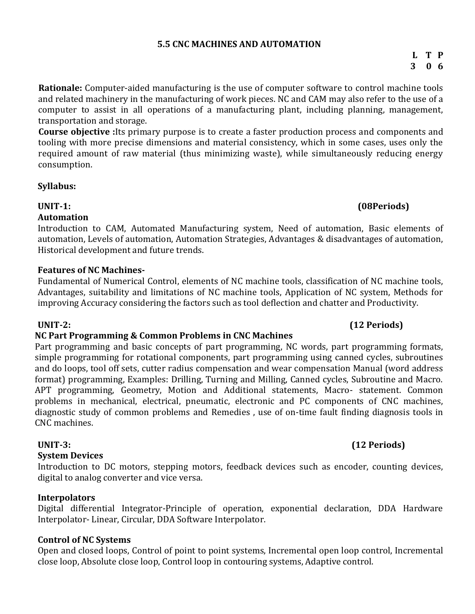### **5.5 CNC MACHINES AND AUTOMATION**

**Rationale:** Computer-aided manufacturing is the use of computer software to control [machine tools](http://en.wikipedia.org/wiki/Machine_tool) and related machinery in the [manufacturing](http://en.wikipedia.org/wiki/Manufacturing) of work pieces. NC and CAM may also refer to the use of a computer to assist in all operations of a manufacturing plant, including planning, management, transportation and storage.

**Course objective :**Its primary purpose is to create a faster production process and components and tooling with more precise dimensions and material consistency, which in some cases, uses only the required amount of raw material (thus minimizing waste), while simultaneously reducing energy consumption.

### **Syllabus:**

### **Automation**

Introduction to CAM, Automated Manufacturing system, Need of automation, Basic elements of automation, Levels of automation, Automation Strategies, Advantages & disadvantages of automation, Historical development and future trends.

# **Features of NC Machines-**

Fundamental of Numerical Control, elements of NC machine tools, classification of NC machine tools, Advantages, suitability and limitations of NC machine tools, Application of NC system, Methods for improving Accuracy considering the factors such as tool deflection and chatter and Productivity.

# **NC Part Programming & Common Problems in CNC Machines**

Part programming and basic concepts of part programming, NC words, part programming formats, simple programming for rotational components, part programming using canned cycles, subroutines and do loops, tool off sets, cutter radius compensation and wear compensation Manual (word address format) programming, Examples: Drilling, Turning and Milling, Canned cycles, Subroutine and Macro. APT programming, Geometry, Motion and Additional statements, Macro- statement. Common problems in mechanical, electrical, pneumatic, electronic and PC components of CNC machines, diagnostic study of common problems and Remedies , use of on-time fault finding diagnosis tools in CNC machines.

### **System Devices**

Introduction to DC motors, stepping motors, feedback devices such as encoder, counting devices, digital to analog converter and vice versa.

# **Interpolators**

Digital differential Integrator-Principle of operation, exponential declaration, DDA Hardware Interpolator- Linear, Circular, DDA Software Interpolator.

# **Control of NC Systems**

Open and closed loops, Control of point to point systems, Incremental open loop control, Incremental close loop, Absolute close loop, Control loop in contouring systems, Adaptive control.

**L T P 3 0 6**

# **UNIT-2: (12 Periods)**

# **UNIT-3: (12 Periods)**

# **UNIT-1: (08Periods)**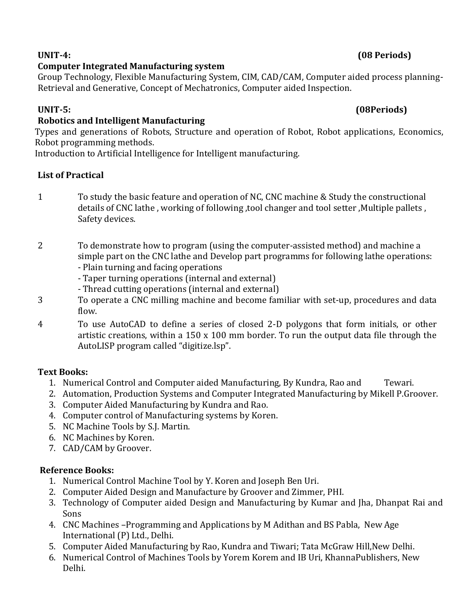# **UNIT-4: (08 Periods)**

# **Computer Integrated Manufacturing system**

Group Technology, Flexible Manufacturing System, CIM, CAD/CAM, Computer aided process planning-Retrieval and Generative, Concept of Mechatronics, Computer aided Inspection.

# **UNIT-5: (08Periods)**

# **Robotics and Intelligent Manufacturing**

Types and generations of Robots, Structure and operation of Robot, Robot applications, Economics, Robot programming methods.

Introduction to Artificial Intelligence for Intelligent manufacturing.

# **List of Practical**

- 1 To study the basic feature and operation of NC, CNC machine & Study the constructional details of CNC lathe , working of following ,tool changer and tool setter ,Multiple pallets , Safety devices.
- 2 To demonstrate how to program (using the computer-assisted method) and machine a simple part on the CNC lathe and Develop part programms for following lathe operations:
	- Plain turning and facing operations
	- Taper turning operations (internal and external)
	- Thread cutting operations (internal and external)
- 3 To operate a CNC milling machine and become familiar with set-up, procedures and data flow.
- 4 To use AutoCAD to define a series of closed 2-D polygons that form initials, or other artistic creations, within a 150 x 100 mm border. To run the output data file through the AutoLISP program called "digitize.lsp".

# **Text Books:**

- 1. Numerical Control and Computer aided Manufacturing, By Kundra, Rao and Tewari.
- 2. Automation, Production Systems and Computer Integrated Manufacturing by Mikell P.Groover.
- 3. Computer Aided Manufacturing by Kundra and Rao.
- 4. Computer control of Manufacturing systems by Koren.
- 5. NC Machine Tools by S.J. Martin.
- 6. NC Machines by Koren.
- 7. CAD/CAM by Groover.

# **Reference Books:**

- 1. Numerical Control Machine Tool by Y. Koren and Joseph Ben Uri.
- 2. Computer Aided Design and Manufacture by Groover and Zimmer, PHI.
- 3. Technology of Computer aided Design and Manufacturing by Kumar and Jha, Dhanpat Rai and Sons
- 4. CNC Machines –Programming and Applications by M Adithan and BS Pabla, New Age International (P) Ltd., Delhi.
- 5. Computer Aided Manufacturing by Rao, Kundra and Tiwari; Tata McGraw Hill,New Delhi.
- 6. Numerical Control of Machines Tools by Yorem Korem and IB Uri, KhannaPublishers, New Delhi.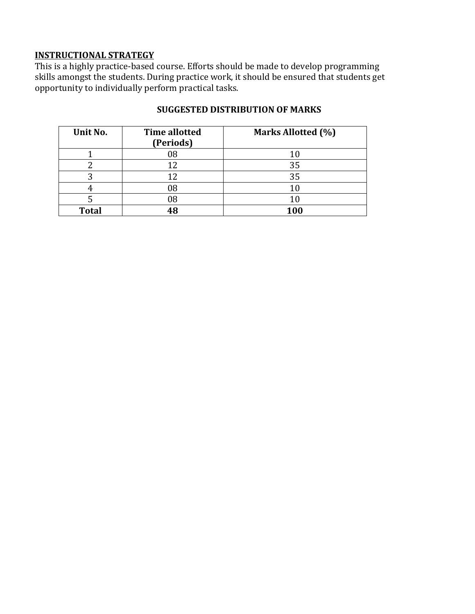# **INSTRUCTIONAL STRATEGY**

This is a highly practice-based course. Efforts should be made to develop programming skills amongst the students. During practice work, it should be ensured that students get opportunity to individually perform practical tasks.

| Unit No.     | <b>Time allotted</b><br>(Periods) | Marks Allotted (%) |
|--------------|-----------------------------------|--------------------|
|              | 08                                |                    |
|              | ר ו                               | 35                 |
|              |                                   | 35                 |
|              | 08                                |                    |
|              | 08                                |                    |
| <b>Total</b> | ıЯ.                               | 100                |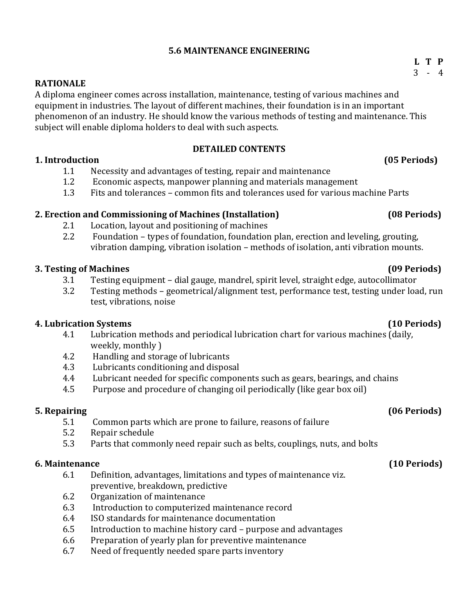# **5.6 MAINTENANCE ENGINEERING**

### **RATIONALE**

A diploma engineer comes across installation, maintenance, testing of various machines and equipment in industries. The layout of different machines, their foundation is in an important phenomenon of an industry. He should know the various methods of testing and maintenance. This subject will enable diploma holders to deal with such aspects.

### **DETAILED CONTENTS**

### **1. Introduction (05 Periods)**

- 1.1 Necessity and advantages of testing, repair and maintenance
- 1.2 Economic aspects, manpower planning and materials management
- 1.3 Fits and tolerances common fits and tolerances used for various machine Parts

# **2. Erection and Commissioning of Machines (Installation) (08 Periods)**

- 2.1 Location, layout and positioning of machines
- 2.2 Foundation types of foundation, foundation plan, erection and leveling, grouting, vibration damping, vibration isolation – methods of isolation, anti vibration mounts.

# **3. Testing of Machines (09 Periods)**

- 3.1 Testing equipment dial gauge, mandrel, spirit level, straight edge, autocollimator
- 3.2 Testing methods geometrical/alignment test, performance test, testing under load, run test, vibrations, noise

# **4. Lubrication Systems (10 Periods)**

- 4.1 Lubrication methods and periodical lubrication chart for various machines (daily, weekly, monthly )
- 4.2 Handling and storage of lubricants
- 4.3 Lubricants conditioning and disposal
- 4.4 Lubricant needed for specific components such as gears, bearings, and chains
- 4.5 Purpose and procedure of changing oil periodically (like gear box oil)

# **5. Repairing (06 Periods)**

- 5.1 Common parts which are prone to failure, reasons of failure
- 5.2 Repair schedule
- 5.3 Parts that commonly need repair such as belts, couplings, nuts, and bolts

# **6. Maintenance (10 Periods)**

- 6.1 Definition, advantages, limitations and types of maintenance viz. preventive, breakdown, predictive
- 6.2 Organization of maintenance
- 6.3 Introduction to computerized maintenance record
- 6.4 ISO standards for maintenance documentation
- 6.5 Introduction to machine history card purpose and advantages
- 6.6 Preparation of yearly plan for preventive maintenance
- 6.7 Need of frequently needed spare parts inventory

### **L T P**  $3 - 4$